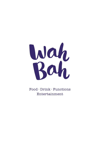

Food · Drink · Functions Entertainment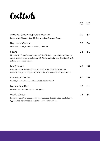## **Cocktails**

|                                                                                                 | Single<br>Player | Multi<br>Player |
|-------------------------------------------------------------------------------------------------|------------------|-----------------|
| Caramel Cream Espresso Martini                                                                  | 20               | 38              |
| Baileys, Mr Black Coffee, 42 Below vodka, Caramel Syrup                                         |                  |                 |
| Espresso Martini                                                                                | 18               | 34              |
| Mr Black Coffee, 42 Below Vodka, Licor 43                                                       |                  |                 |
| Sours                                                                                           | 18               | 34              |
| Mixed with Fresh Lemon juice and Egg Whites, your choice of liquor to                           |                  |                 |
| mix it with of Amaretto, Liquor 43, St Germain, Pavan, Garnished with<br>dehydrated lemon wheel |                  |                 |
| Long Island                                                                                     | 20               | 38              |
| Eristoff vodka, Tanquary Gin, Bacardi Rum, Cointreau Tequila,                                   |                  |                 |
| Fresh lemon juice, topped up with Coke, Garnished with fresh lemon                              |                  |                 |
| Pornstar Martini                                                                                | 20               | 38              |
| Passoa, Vanilla Vodka, Lemon Juice, Passionfruit                                                |                  |                 |
| Lychee Martini                                                                                  | 18               | 34              |
| Paraiso, Eristoff Vodka, Lychee Syrup                                                           |                  |                 |
| Peach please                                                                                    | 18               | 34              |
| Bacardi rum, Peach schnapps, blue curacao, Lemon juice, apple juice,                            |                  |                 |
| Egg Whites, garnished with dehydrated lemon wheel                                               |                  |                 |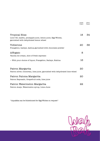|                                                                                                                        | Player | Player |
|------------------------------------------------------------------------------------------------------------------------|--------|--------|
| Tropical Bliss<br>Licor 43, malibu, pineapple juice, lemon juice, Egg Whites,<br>garnished with dehydrated lemon wheel | 18     | 34     |
| Toblerone<br>Frangelico, baileys, kahlua garnished with chocolate powder                                               | 20     | 38     |
| Affogato<br>Vanilla Ice cream, shot of fresh espresso                                                                  | 8      |        |
| - With your choice of liquor, Frangelico, Baileys, Kahlua                                                              | 16     |        |
| Patron Margarita<br>Patron silver, Cointreau, lime juice, garnished with dehydrated lime wheel                         | 20     |        |
| Patron Paloma Margarita<br>Patron Reposado, Grapefruit soda, lime juice                                                | 20     |        |
| Patron Watermelon Margarita<br>Patron Anejo, Watermelon syrup, Lime Juice                                              | 22     |        |

 $^\ast$  Aquafaba can be Substituted for Egg Whites on request  $^\ast$ 



Single

Multi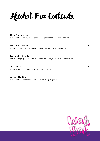Alcohol Free Cocktails

| Non-Alc Mojito<br>Non-Alcoholic Rum, Mint Syrup, soda garnished with mint and lime | 14 |
|------------------------------------------------------------------------------------|----|
|                                                                                    |    |
| Wah-Wah Mule                                                                       | 14 |
| Non-alcoholic Gin, Cranberry, Ginger Beer garnished with lime                      |    |
| Lavendar Spritz                                                                    | 14 |
| Lavendar syrup, Soda, Non-alcoholic Pink-Gin, Non-alc sparkling wine               |    |
| Gin Sour                                                                           | 14 |
| Non-Alcoholic Gin, Lemon Juice, simple syrup                                       |    |
|                                                                                    |    |
| Amaretto Sour                                                                      | 14 |
| Non-Alcoholic Amaretto, Lemon Juice, simple syrup                                  |    |

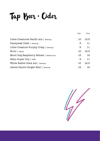Tap Beer · Cider

|                                        | Sch. | Pint |
|----------------------------------------|------|------|
| Little Creatures Pacific Ale   Geelong | 10   | 12.5 |
| Pipsqueak Cider   Geelong              | 9    | 11   |
| Little Creature Furphy Crisp   Geelong | 9    | 11   |
| Kirin   Japan                          | 10   | 12.5 |
| Mood Dog Raspberry Seltzer   Melbourne | 12   | 14   |
| Hahn Super Dry   NSW                   | 9    | 11   |
| White Rabbit Dark Ale   Geelong        | 10   | 12.5 |
| James Squire Ginger Beer   Geelong     | 12   | 14   |

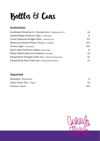## Bottles & Cans

#### **Australian**

| Southwest Brewing Co. Colonial Sour   Melbourne, Vic | 12  |
|------------------------------------------------------|-----|
| James Boags Premium Light   Tasmania                 | 6   |
| Little Creatures Rodgers Mid   Geelong, Vic          | 7.5 |
| Melbourne Bitter 375mL Tinnie   Victoria             | 9.5 |
| Crown Lager   Australia                              | 9.5 |
| Byron Bay Premium Larger   Byron Bay                 | 9   |
| White Rabbit Dark Ale Stubbies Geelong               | 10  |
| Flying Brick Draught Cider can   Bellarine Peninsula | 10  |
| Flying Brick Pear Cider can   Bellarine Peninsula    | 10  |

#### **Imported**

| Heineken   Netherlands  |     |
|-------------------------|-----|
| Asahi Super Dry   Japan | 10  |
| Corona   Mexico         | 9.5 |

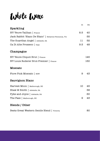White Wine

|                                                         | Gl  | Btl |
|---------------------------------------------------------|-----|-----|
| Sparkling                                               |     |     |
| NV Veuve Tailhan   France                               | 8.5 | 40  |
| Jack Rabbit 'Blanc De Blanc'   Bellarine Peninsula, Vic |     | 55  |
| The Guardian Angel   Adelaide, SA                       | 11  | 52  |
| Ca Di Alte Prosseco   Italy                             | 9.5 | 48  |
| Champagne                                               |     |     |
| NV Veuve Cliquot Brut   France                          |     | 145 |
| NV Louis Roderer Brut Premier   France                  |     | 150 |
| Moscato                                                 |     |     |
| Fiore Pink Moscato   NSW                                | 9   | 43  |
| Sauvignon Blanc                                         |     |     |
| Harvest Moon   Malborough, NZ                           | 10  | 45  |
| Shaw & Smith   Adelaide, SA                             |     | 58  |
| Pyke and Joyce   Adelaide, SA                           |     | 60  |
| The Pass   Malborough, NZ                               | 9   | 43  |
| Blends / Other                                          |     |     |

| Bests Great Western Gentle Blend   victoria |  | 80 |
|---------------------------------------------|--|----|
|---------------------------------------------|--|----|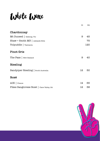White Wine

|                                          | Gl | Btl |
|------------------------------------------|----|-----|
| Chardonnay                               |    |     |
| Mt Duneed   Geelong, Vic                 | 9  | 45  |
| Shaw + Smith M3   Adelaide Hills         |    | 75  |
| Tolpuddle   Tasmania                     |    | 120 |
| <b>Pinot Gris</b>                        |    |     |
| The Pass   New Zealand                   | 9  | 40  |
| Riesling                                 |    |     |
| Sandpiper Riesling   South Australia     | 12 | 50  |
| Rosé                                     |    |     |
| $AIX$   France                           | 14 | 65  |
| Pikes Sangiovese Rosé   Clare Valley, SA | 12 | 58  |

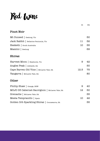# Red Wine

|                                               | <b>G</b> l | Btl |
|-----------------------------------------------|------------|-----|
| <b>Pinot Noir</b>                             |            |     |
| Mt Duneed   Geelong, Vic                      |            | 50  |
| Jack Rabbit   Bellarine Peninsula, Vic        | 11         | 52  |
| Hesketh   South Australia                     | 10         | 55  |
| Mazzini   Geelong                             |            | 69  |
| Shiraz                                        |            |     |
| Harvest Moon   Heathcote, Vic                 | 9          | 42  |
| Angles Peak   Adelaide, SA                    |            | 50  |
| Cape Barren Old Vine   McLaren Vale, SA       | 12.5       | 75  |
| Yangarra   McLaren Vale, SA                   |            | 80  |
| Other                                         |            |     |
| Phillip Shaw   Orange, NSW                    | 9          | 40  |
| MOJO 03 Cabernet Sauvignon   McLaren Vale, SA | 12         | 50  |
| Grenache   McLaren Vale, SA                   |            | 55  |
| Mesta Tempranillo   Spain                     | 10         | 42  |
| Golden Orb Sparkling Shiraz   Coonawarra, SA  |            | 55  |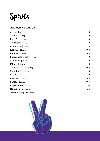

#### **Aperitif / Liqueur**

| Aperol   Italy               | 9   |
|------------------------------|-----|
| Campari   Italy              | 9   |
| Pimm's   England             | 9   |
| Cointreau   Italy            | 9   |
| Frangelico   Italy           | 9   |
| Kahlua   Mexico              | 9.5 |
| Baileys   Ireland            | 9.5 |
| Barbaresso Ouzo   Greece     | 9   |
| Amaretto   Italy             | 9   |
| Midori   Japan               | 9   |
| Opal Nera Black   Italy      | 9.5 |
| Chambord   France            | 9   |
| Paraiso   France             | 9   |
| Licor 43   Spain             | 9.5 |
| Pavan   France               | 9.5 |
| Jägermeister   Germany       | 10  |
| Mr Black   Australia         | 11  |
| Green Fairy   Czech Republic | 12  |

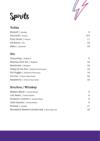

# Spirits

#### **Vodka**

| Eristoff   Georgia  | 9   |
|---------------------|-----|
| Smirnoff   Russia   | 9.5 |
| Grey Goose   France | 11  |
| 42 Below   NZ       | 12  |
| Haku   Japanese     | 12  |

#### **Gin**

| Tanqueray   England                   | 9  |
|---------------------------------------|----|
| Hayman Sloe Gin   England             | 10 |
| Hendricks   England                   | 12 |
| Teddy & the Fox   Bellarine Peninsula | 14 |
| Old Dogger   Bellarine Peninsula      | 14 |
| Guvvos   Great Ocean Road             | 12 |
| Raspberry   Great Ocean Road          | 12 |

#### **Bourbon / Whiskey**

| Makers Mark   United States                 | 9  |
|---------------------------------------------|----|
| Jim Beam   United States                    | 9  |
| Southern Comfort   United States            | 9  |
| Jack Daniels   United States                | 9  |
| Fireball   Canada                           | 11 |
| Woodsford Reserve Double Oak   Kentucky, US | 13 |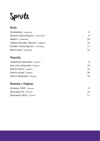Spirits

#### **Rum**

| Bundaberg   Australia              | 9   |
|------------------------------------|-----|
| Bacardi Carta Blanca   Puerto Rico | 9   |
| Malibu   Caribbean                 | 10. |
| Captain Morgan 'Spiced'   England  | 10  |
| Kraken 'Black Spiced'   Caribbean  | 11  |
| Mount Gay   Barbados               | 10  |

#### **Tequila**

| Cazadores Reposado   Mexico | 9   |
|-----------------------------|-----|
| Don Julio Reposado   Mexico | 10. |
| Patron Silver   Mexico      | 12  |
| Patron Anejo   Mexico       | 18. |
| Patron Reposado   Mexico    | 15. |

#### **Brandy / Cognac**

| St Remy VSOP   France  |  |
|------------------------|--|
| Hennessy VS   France   |  |
| Hennessy VSOP   France |  |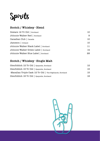

#### **Scotch / Whiskey · Blend**

| Dewars 12 Yr Old   Scotland           | 10 |
|---------------------------------------|----|
| Johnnie Walker Red   Scotland         | 9  |
| Canadian Club   Canada                | 10 |
| Jameson   Ireland                     | 10 |
| Johnnie Walker Black Label   Scotland | 11 |
| Johnnie Walker Green Label   Scotland | 14 |
| Johnnie Walker Blue Label   Scotland  | 28 |

#### **Scotch / Whiskey · Single Malt**

| Glenfiddich 12 Yr Old   Speyside, Scotland                | 12 |
|-----------------------------------------------------------|----|
| Glenfiddich 15 Yr Old   Speyside, Scotland                | 15 |
| -Macallan Triple Cask 12 Yr Old   The Highlands, Scotland | 15 |
| Glenfiddich 18 Yr Old   Speyside, Scotland                | 18 |

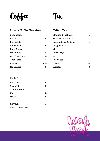**Coffee** 

## Tea

| Locale Coffee Roasters |     | T-Bar Tea           |   |
|------------------------|-----|---------------------|---|
| Cappuccino             | 4   | English Breakfast   | 4 |
| Latte                  | 4   | Green China Jasmine | 4 |
| Flat White             | 4   | Lemongrass & Ginger | 4 |
| Short Black            | 4   | Peppermint          | 4 |
| Long Black             | 4   | Chai                | 4 |
| Macchiato              | 4   | Earl Grey           | 4 |
| Hot Chocolate          | 4   |                     |   |
| Chai Latte             | 4   | Iced Teas           |   |
| Mocha                  | 4.5 | Peach               | 6 |
| Iced Latte             | 5   | Lemon               | 6 |

#### **Extra**

| Extra Shot  | .5 |
|-------------|----|
| Soy Milk    | .5 |
| Almond Milk | ı  |
| Mug         | .5 |
| Decaf       | .5 |
|             |    |

#### Flavours: 1

Mint | Caramel | Vanilla

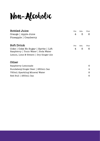Non-Alcoholic

| <b>Bottled Juice</b>                                                         | Pot | Sch. | Pint |
|------------------------------------------------------------------------------|-----|------|------|
| Orange   Apple Juice                                                         | 4   | 5    | 6    |
| Pineapple   Cranberry                                                        |     |      |      |
| Soft Drink                                                                   | Pot | Sch. | Pint |
| Coke   Coke No Sugar   Sprite   Lift<br>Raspberry   Tonic Water   Soda Water | 4   | 5    | 6    |
| Lemon, Lime & Bitters   Dry Ginger Ale                                       |     |      |      |
| Other                                                                        |     |      |      |
| Raspberry Lemonade                                                           |     |      | 6    |
| Bundaberg Ginger Beer   250mL Can                                            |     |      | 4    |
| 750mL Sparkling Mineral Water                                                |     |      | 8    |
| Red Bull   250mL Can                                                         |     |      | 6    |